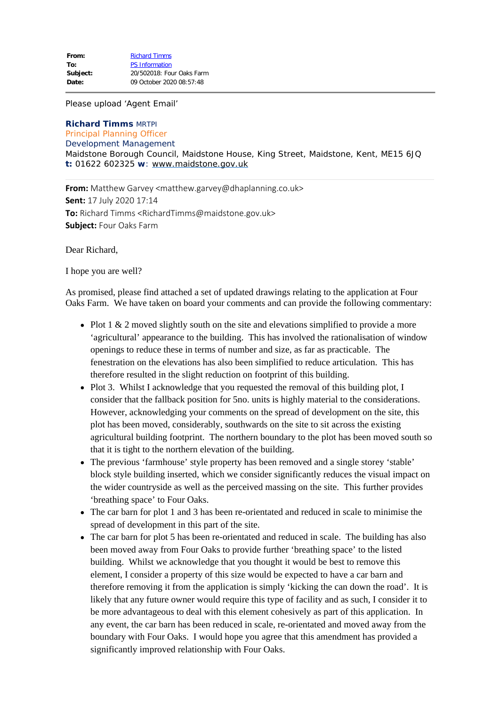Please upload 'Agent Email'

## **Richard Timms** MRTPI Principal Planning Officer

## Development Management

Maidstone Borough Council, Maidstone House, King Street, Maidstone, Kent, ME15 6JQ **t:** 01622 602325 **w**: [www.maidstone.gov.uk](http://www.maidstone.gov.uk/)

**From:** Matthew Garvey <matthew.garvey@dhaplanning.co.uk> **Sent:** 17 July 2020 17:14 **To:** Richard Timms <RichardTimms@maidstone.gov.uk> **Subject:** Four Oaks Farm

Dear Richard,

I hope you are well?

As promised, please find attached a set of updated drawings relating to the application at Four Oaks Farm. We have taken on board your comments and can provide the following commentary:

- Plot 1 & 2 moved slightly south on the site and elevations simplified to provide a more 'agricultural' appearance to the building. This has involved the rationalisation of window openings to reduce these in terms of number and size, as far as practicable. The fenestration on the elevations has also been simplified to reduce articulation. This has therefore resulted in the slight reduction on footprint of this building.
- Plot 3. Whilst I acknowledge that you requested the removal of this building plot, I consider that the fallback position for 5no. units is highly material to the considerations. However, acknowledging your comments on the spread of development on the site, this plot has been moved, considerably, southwards on the site to sit across the existing agricultural building footprint. The northern boundary to the plot has been moved south so that it is tight to the northern elevation of the building.
- The previous 'farmhouse' style property has been removed and a single storey 'stable' block style building inserted, which we consider significantly reduces the visual impact on the wider countryside as well as the perceived massing on the site. This further provides 'breathing space' to Four Oaks.
- The car barn for plot 1 and 3 has been re-orientated and reduced in scale to minimise the spread of development in this part of the site.
- The car barn for plot 5 has been re-orientated and reduced in scale. The building has also been moved away from Four Oaks to provide further 'breathing space' to the listed building. Whilst we acknowledge that you thought it would be best to remove this element, I consider a property of this size would be expected to have a car barn and therefore removing it from the application is simply 'kicking the can down the road'. It is likely that any future owner would require this type of facility and as such, I consider it to be more advantageous to deal with this element cohesively as part of this application. In any event, the car barn has been reduced in scale, re-orientated and moved away from the boundary with Four Oaks. I would hope you agree that this amendment has provided a significantly improved relationship with Four Oaks.